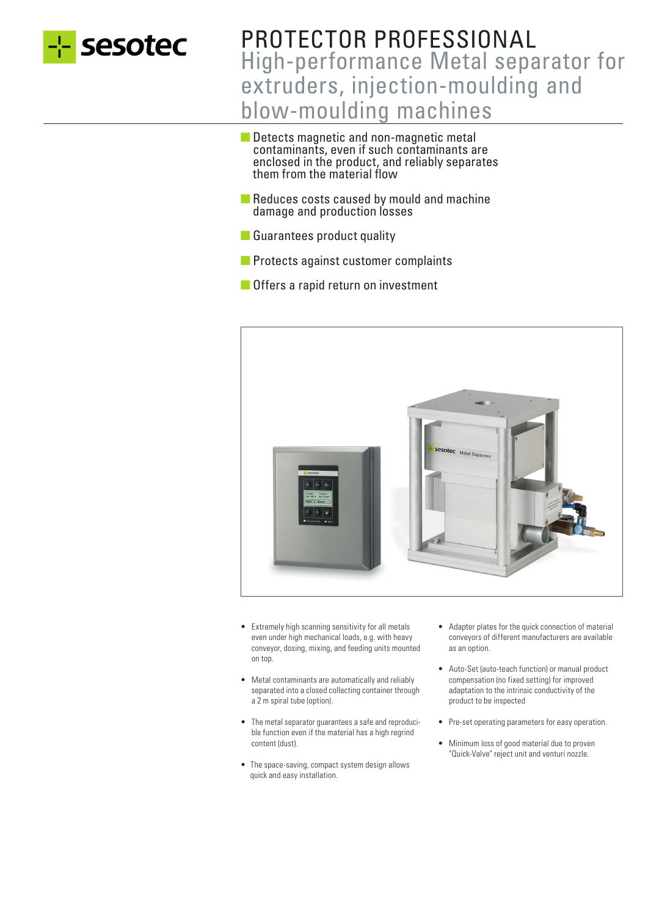

# PROTECTOR PROFESSIONAL High-performance Metal separator for extruders, injection-moulding and blow-moulding machines

- Detects magnetic and non-magnetic metal contaminants, even if such contaminants are enclosed in the product, and reliably separates them from the material flow
- Reduces costs caused by mould and machine damage and production losses
- Guarantees product quality
- Protects against customer complaints
- Offers a rapid return on investment



- Extremely high scanning sensitivity for all metals even under high mechanical loads, e.g. with heavy conveyor, dosing, mixing, and feeding units mounted on top.
- Metal contaminants are automatically and reliably separated into a closed collecting container through a 2 m spiral tube (option).
- The metal separator guarantees a safe and reproducible function even if the material has a high regrind content (dust).
- The space-saving, compact system design allows quick and easy installation.
- Adapter plates for the quick connection of material conveyors of different manufacturers are available as an option.
- Auto-Set (auto-teach function) or manual product compensation (no fixed setting) for improved adaptation to the intrinsic conductivity of the product to be inspected
- Pre-set operating parameters for easy operation.
- Minimum loss of good material due to proven "Quick-Valve" reject unit and venturi nozzle.